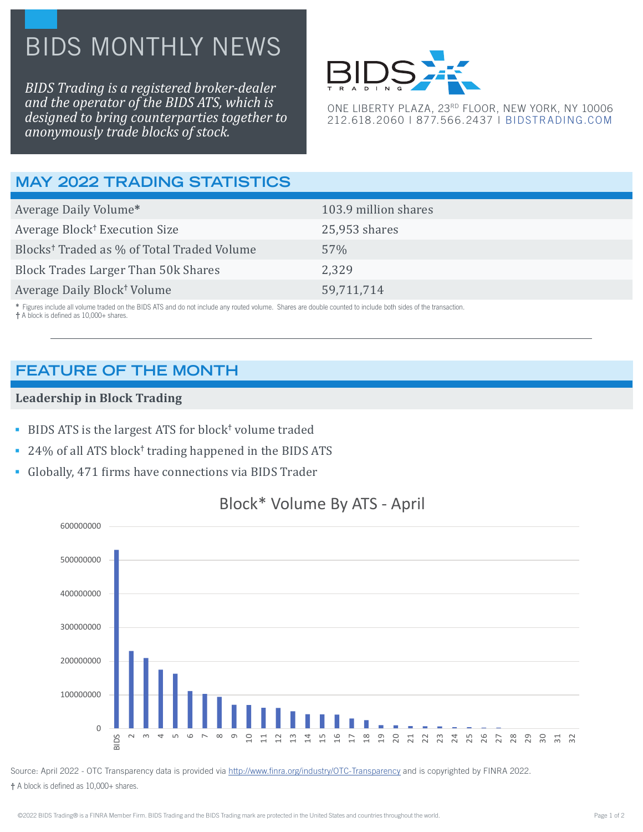# BIDS MONTHLY NEWS

*BIDS Trading is a registered broker-dealer and the operator of the BIDS ATS, which is designed to bring counterparties together to anonymously trade blocks of stock.*



ONE LIBERTY PLAZA, 23RD FLOOR, NEW YORK, NY 10006 212.618.2060 | 877.566.2437 | [BIDSTRADING.COM](http://www.bidstrading.com)

# **MAY 2022 TRADING STATISTICS**

| Average Daily Volume*                                  | 103.9 million shares |
|--------------------------------------------------------|----------------------|
| Average Block <sup>†</sup> Execution Size              | $25,953$ shares      |
| Blocks <sup>†</sup> Traded as % of Total Traded Volume | 57%                  |
| <b>Block Trades Larger Than 50k Shares</b>             | 2,329                |
| Average Daily Block <sup>†</sup> Volume                | 59,711,714           |

 **\*** Figures include all volume traded on the BIDS ATS and do not include any routed volume. Shares are double counted to include both sides of the transaction.  **†** A block is defined as 10,000+ shares.

## **FEATURE OF THE MONTH**

#### **Leadership in Block Trading**

- **BIDS ATS** is the largest ATS for block<sup>†</sup> volume traded
- **24% of all ATS block<sup>†</sup> trading happened in the BIDS ATS**
- Globally, 471 firms have connections via BIDS Trader



## Block\* Volume By ATS - April

Source: April 2022 - OTC Transparency data is provided via http://www.finra.org/industry/OTC-Transparency and is copyrighted by FINRA 2022. **†** A block is defined as 10,000+ shares.